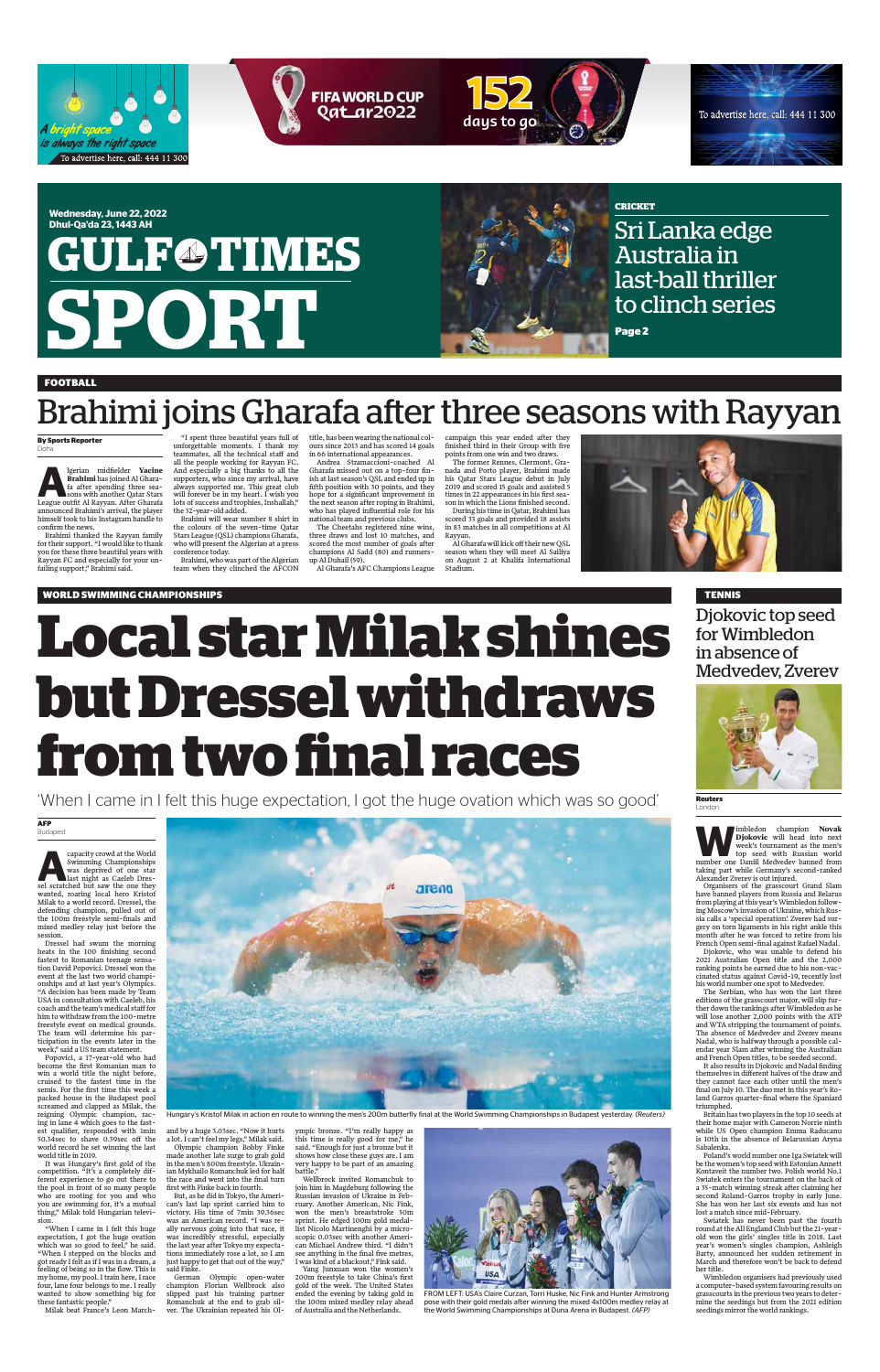



**CRICKET**

Sri Lanka edge Australia in last-ball thriller to clinch series

**Page 2**









# **Local star Milak shines but Dressel withdraws from two fi nal races**

**WORLD SWIMMING CHAMPIONSHIPS** 

**AFP** Budapest

**A A CONCRUCTE CONSUMINUES CONTINUES AND A SURFACE SUBSURFACE SET SCHOOL SCHOOL SCHOOL SCHOOL SCHOOL SCHOOL SET SCHOOL SCHOOL SE SCHOOL SCHOOL SCHOOL SE SCHOOL SE SCHOOL SE SCHOOL SE SCHOOL SE SCHOOL SCHOOL SCHOOL SCHOOL S** Swimming Championships was deprived of one star last night as Caeleb Dressel scratched but saw the one they wanted, roaring local hero Kristof Milak to a world record. Dressel, the defending champion, pulled out of the 100m freestyle semi-finals and mixed medley relay just before the session.

Dressel had swum the morning heats in the 100 finishing second fastest to Romanian teenage sensation David Popovici. Dressel won the event at the last two world championships and at last year's Olympics. "A decision has been made by Team USA in consultation with Caeleb, his coach and the team's medical staff for him to withdraw from the 100-metre freestyle event on medical grounds. The team will determine his participation in the events later in the week," said a US team statement.

It was Hungary's first gold of the competition. "It's a completely different experience to go out there to the pool in front of so many people who are rooting for you and who you are swimming for, it's a mutual thing," Milak told Hungarian television.

Olympic champion Bobby Finke made another late surge to grab gold in the men's 800m freestyle. Ukrainian Mykhailo Romanchuk led for half the race and went into the final turn first with Finke back in fourth.

Popovici, a 17-year-old who had become the first Romanian man to win a world title the night before, cruised to the fastest time in the semis. For the first time this week a packed house in the Budapest pool screamed and clapped as Milak, the reigning Olympic champion, racing in lane 4 which goes to the fastest qualifier, responded with 1min 50.34sec to shave 0.39sec off the world record he set winning the last world title in 2019.

**Reuters** Londor

"When I came in I felt this huge expectation, I got the huge ovation which was so good to feel," he said. "When I stepped on the blocks and got ready I felt as if I was in a dream, a feeling of being so in the flow. This is my home, my pool. I train here, I race four, lane four belongs to me. I really wanted to show something big for these fantastic people."

**Wimbledon** champion **Novak**<br> **Djokovic** will head into next<br>
top seed with Russian world<br>
number one Daniil Medvedev banned from **Djokovic** will head into next week's tournament as the men's top seed with Russian world taking part while Germany's second-ranked Alexander Zverev is out injured.

Organisers of the grasscourt Grand Slam have banned players from Russia and Belarus from playing at this year's Wimbledon following Moscow's invasion of Ukraine, which Russia calls a 'special operation'. Zverev had surgery on torn ligaments in his right ankle this month after he was forced to retire from his French Open semi-final against Rafael Nadal.

Milak beat France's Leon March-

areng

and by a huge 3.03sec. "Now it hurts a lot. I can't feel my legs," Milak said.

But, as he did in Tokyo, the American's last lap sprint carried him to victory. His time of 7min 39.36sec was an American record. "I was really nervous going into that race, it was incredibly stressful, especially the last year after Tokyo my expectations immediately rose a lot, so I am just happy to get that out of the way," said Finke.

It also results in Djokovic and Nadal finding themselves in different halves of the draw and they cannot face each other until the men's final on July 10. The duo met in this year's Roland Garros quarter-final where the Spaniard triumphed.

German Olympic open-water champion Florian Wellbrock also slipped past his training partner Romanchuk at the end to grab silver. The Ukrainian repeated his Ol-

ympic bronze. "I'm really happy as this time is really good for me," he said. "Enough for just a bronze but it shows how close these guys are. I am very happy to be part of an amazing battle."

Wellbrock invited Romanchuk to join him in Magdeburg following the Russian invasion of Ukraine in February. Another American, Nic Fink, won the men's breaststroke 50m sprint. He edged 100m gold medallist Nicolo Martinenghi by a microscopic 0.03sec with another American Michael Andrew third. "I didn't see anything in the final five metres. I was kind of a blackout," Fink said.

Yang Junxuan won the women's 200m freestyle to take China's first gold of the week. The United States ended the evening by taking gold in the 100m mixed medley relay ahead of Australia and the Netherlands.

Djokovic top seed for Wimbledon in absence of Medvedev, Zverev



# 'When I came in I felt this huge expectation, I got the huge ovation which was so good

## **TENNIS**

Djokovic, who was unable to defend his 2021 Australian Open title and the 2,000 ranking points he earned due to his non-vaccinated status against Covid-19, recently lost his world number one spot to Medvedev.

The Serbian, who has won the last three editions of the grasscourt major, will slip further down the rankings after Wimbledon as he will lose another 2,000 points with the ATP and WTA stripping the tournament of points. The absence of Medvedev and Zverev means Nadal, who is halfway through a possible calendar year Slam after winning the Australian and French Open titles, to be seeded second.

Britain has two players in the top 10 seeds at their home major with Cameron Norrie ninth while US Open champion Emma Raducanu is 10th in the absence of Belarussian Aryna Sabalenka.

Poland's world number one Iga Swiatek will be the women's top seed with Estonian Annett Kontaveit the number two. Polish world No.1 Swiatek enters the tournament on the back of a 35-match winning streak after claiming her second Roland-Garros trophy in early June. She has won her last six events and has not lost a match since mid-February.

Swiatek has never been past the fourth round at the All England Club but the 21-yearold won the girls' singles title in 2018. Last year's women's singles champion, Ashleigh Barty, announced her sudden retirement in March and therefore won't be back to defend her title.

Wimbledon organisers had previously used a computer-based system favouring results on grasscourts in the previous two years to determine the seedings but from the 2021 edition seedings mirror the world rankings.

## **FOOTBALL**

# Brahimi joins Gharafa after three seasons with Rayyan

**By Sports Reporter** Doha

**Algerian midfielder Yacine Brahimi** has joined Al Gharafa after spending three seasons with another Qatar Stars League outfit Al Rayyan. After Gharafa **Brahimi** has joined Al Gharafa after spending three seasons with another Qatar Stars announced Brahimi's arrival, the player himself took to his Instagram handle to confirm the news.

Brahimi thanked the Rayyan family for their support. "I would like to thank you for these three beautiful years with Rayyan FC and especially for your unfailing support," Brahimi said.

"I spent three beautiful years full of unforgettable moments. I thank my teammates, all the technical staff and all the people working for Rayyan FC. And especially a big thanks to all the supporters, who since my arrival, have always supported me. This great club will forever be in my heart. I wish you lots of success and trophies, Inshallah," the 32-year-old added. Brahimi will wear number 8 shirt in

the colours of the seven-time Qatar Stars League (QSL) champions Gharafa, who will present the Algerian at a press conference today.

Brahimi, who was part of the Algerian team when they clinched the AFCON

title, has been wearing the national colours since 2013 and has scored 14 goals in 66 international appearances.

Andrea Stramaccioni-coached Al Gharafa missed out on a top-four finish at last season's QSL and ended up in fifth position with 30 points, and they hope for a significant improvement in the next season after roping in Brahimi, who has played influential role for his national team and previous clubs.

The Cheetahs registered nine wins, three draws and lost 10 matches, and scored the most number of goals after champions Al Sadd (80) and runnersup Al Duhail (59).

Al Gharafa's AFC Champions League

campaign this year ended after they finished third in their Group with five points from one win and two draws.

The former Rennes, Clermont, Granada and Porto player, Brahimi made his Qatar Stars League debut in July 2019 and scored 15 goals and assisted 5 times in 22 appearances in his first season in which the Lions finished second. During his time in Qatar, Brahimi has

scored 33 goals and provided 18 assists in 83 matches in all competitions at Al Rayyan. Al Gharafa will kick off their new QSL

season when they will meet Al Sailiya on August 2 at Khalifa International Stadium.



Hungary's Kristof Milak in action en route to winning the men's 200m butterfly final at the World Swimming Championships in Budapest yesterday. *(Reuters)*



FROM LEFT: USA's Claire Curzan, Torri Huske, Nic Fink and Hunter Armstrong pose with their gold medals after winning the mixed 4x100m medley relay at the World Swimming Championships at Duna Arena in Budapest. *(AFP)*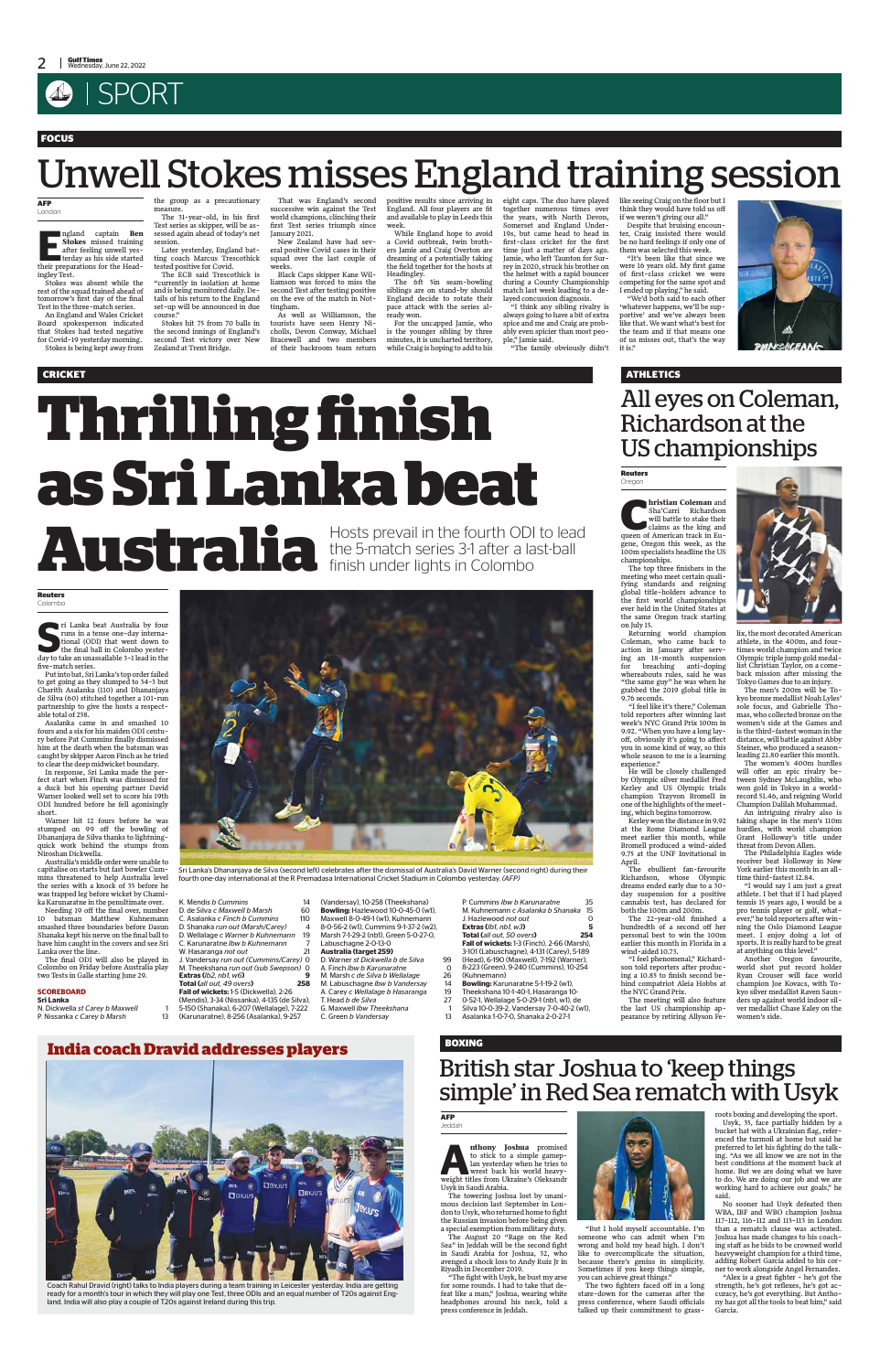

# Unwell Stokes misses England training session

#### **AFP** London

**EXECUTE ISLAME CAPTE ISLAME ISLAME STARK STARK STATE ISLAME ISLAME TO A THE PRESENTION OF THE PRESENTION OF THE PRESENTION OF THE PRESENTION OF THE PRESENTION OF THE PRESENTION OF THE PRESENTION OF THE PRESENTION OF THE P Stokes** missed training after feeling unwell yesterday as his side started ingley Test.

Stokes was absent while the rest of the squad trained ahead of tomorrow's first day of the final Test in the three-match series.

An England and Wales Cricket Board spokesperson indicated that Stokes had tested negative for Covid-19 yesterday morning. Stokes is being kept away from

the group as a precautionary

measure. The 31-year-old, in his first Test series as skipper, will be assessed again ahead of today's net session.

Later yesterday, England batting coach Marcus Trescothick tested positive for Covid.

course." Stokes hit 75 from 70 balls in the second innings of England's second Test victory over New Zealand at Trent Bridge.

The ECB said Trescothick is "currently in isolation at home and is being monitored daily. Details of his return to the England set-up will be announced in due tingham.

That was England's second successive win against the Test world champions, clinching their first Test series triumph since January 2021.

New Zealand have had several positive Covid cases in their squad over the last couple of weeks.

Black Caps skipper Kane Williamson was forced to miss the second Test after testing positive on the eve of the match in Not-As well as Williamson, the

like seeing Craig on the floor but I think they would have told us off if we weren't giving our all." Despite that bruising encoun-

tourists have seen Henry Nicholls, Devon Conway, Michael Bracewell and two members of their backroom team return

were 16 years old. My first game of first-class cricket we were competing for the same spot and I ended up playing," he said.

positive results since arriving in England. All four players are fit and available to play in Leeds this week.

# **Thrilling fi nish as Sri Lanka beat**  Hosts prevail in the fourth ODI to lead<br>the 5-match series 3-1 after a last-ball<br>finish under lights in Colombo

While England hope to avoid a Covid outbreak, twin brothers Jamie and Craig Overton are dreaming of a potentially taking the field together for the hosts at Headingley.

The 6ft 5in seam-bowling siblings are on stand-by should England decide to rotate their pace attack with the series already won.

For the uncapped Jamie, who is the younger sibling by three minutes, it is uncharted territory, while Craig is hoping to add to his

eight caps. The duo have played together numerous times over the years, with North Devon, Somerset and England Under-19s, but came head to head in first-class cricket for the first time just a matter of days ago. Jamie, who left Taunton for Surrey in 2020, struck his brother on the helmet with a rapid bouncer during a County Championship match last week leading to a delayed concussion diagnosis.

The final ODI will also be played in Colombo on Friday before Australia play two Tests in Galle starting June 29.

"I think any sibling rivalry is always going to have a bit of extra spice and me and Craig are probably even spicier than most people," Jamie said.

"The family obviously didn't

(Vandersay), 10-258 (Theekshana) **Bowling:** Hazlewood 10-0-45-0 (w1), Maxwell 8-0-49-1 (w1), Kuhnemann 8-0-56-2 (w1), Cummins 9-1-37-2 (w2), Marsh 7-1-29-2 (nb1), Green 5-0-27-0, Labuschagne 2-0-13-0 **Australia (target 259)** D. Warner *st Dickwella b de Silva* 99 A. Finch *lbw b Karunaratne* 0 M. Marsh *c de Silva b Wellalage* 26 M. Labuschagne *lbw b Vandersay* 14 A. Carey *c Wellalage b Hasaranga* 19 T. Head *b de Silva* G. Maxwell *lbw Theekshana* 1 **C.** Green *b Vandersay* 

ter, Craig insisted there would be no hard feelings if only one of them was selected this week. "It's been like that since we

"We'd both said to each other 'whatever happens, we'll be supportive' and we've always been like that. We want what's best for the team and if that means one of us misses out, that's the way it is."



### **Reuters** Colombo

Ti Lanka beat Australia by four runs in a tense one-day international (ODI) that went down to the final ball in Colombo yesterday to take an unassailable 3-1 lead in the ri Lanka beat Australia by four runs in a tense one-day international (ODI) that went down to the final ball in Colombo yesterfive-match series.

Put into bat, Sri Lanka's top order failed to get going as they slumped to 34-3 but Charith Asalanka (110) and Dhananjaya de Silva (60) stitched together a 101-run partnership to give the hosts a respectable total of 258.

**Coleman** and Sha'Carri Richardson will battle to stake their claims as the king and queen of American track in Eu-Sha'Carri Richardson will battle to stake their claims as the king and queen of American track in Eugene, Oregon this week, as the 100m specialists headline the US championships.

The top three finishers in the meeting who meet certain qualifying standards and reigning global title-holders advance to the first world championships ever held in the United States at the same Oregon track starting on July 15.

Asalanka came in and smashed 10 fours and a six for his maiden ODI century before Pat Cummins finally dismissed him at the death when the batsman was caught by skipper Aaron Finch as he tried to clear the deep midwicket boundary.

In response, Sri Lanka made the perfect start when Finch was dismissed for a duck but his opening partner David Warner looked well set to score his 19th ODI hundred before he fell agonisingly short. Warner hit 12 fours before he was stumped on 99 off the bowling of Dhananjaya de Silva thanks to lightningquick work behind the stumps from Niroshan Dickwella. Australia's middle order were unable to capitalise on starts but fast bowler Cummins threatened to help Australia level the series with a knock of 35 before he was trapped leg before wicket by Chamika Karunaratne in the penultimate over. Needing 19 off the final over, number 10 batsman Matthew Kuhnemann smashed three boundaries before Dasun Shanaka kept his nerve on the final ball to have him caught in the covers and see Sri Lanka over the line.



The 22-year-old finished a hundredth of a second off her personal best to win the 100m earlier this month in Florida in a wind-aided 10.73.

will offer an epic rivalry between Sydney McLaughlin, who won gold in Tokyo in a worldrecord 51.46, and reigning World

### **SCOREBOARD**

### **Sri Lanka**

P. Nissanka *c Carey b Marsh* 

K. Mendis *b Cummins* 14 D. de Silva *c Maxwell b Marsh* 60<br>C. Asalanka *c Finch b Cummins* 110 C. Asalanka *c Finch b Cummins* 110 D. Shanaka *run out (Marsh/Carey)* 4 **D. Wellalage c Warner b Kuhnemann** C. Karunaratne *lbw b Kuhnemann* 7 W. Hasaranga not out J. Vandersay *run out (Cummins/Carey)* 0 M. Theekshana *run out (sub Swepson)* 0 **Extras (***lb2, nb1, w6***) 9 Total (***all out, 49 overs*) **Fall of wickets:** 1-5 (Dickwella), 2-26 (Mendis), 3-34 (Nissanka), 4-135 (de Silva), 5-150 (Shanaka), 6-207 (Wellalage), 7-222 (Karunaratne), 8-256 (Asalanka), 9-257

> "The fight with Usyk, he bust my arse for some rounds. I had to take that defeat like a man," Joshua, wearing white headphones around his neck, told a press conference in Jeddah.



The two fighters faced off in a long stare-down for the cameras after the press conference, where Saudi officials talked up their commitment to grass-



P. Cummins *lbw b Karunaratne* 35 M. Kuhnemann *c Asalanka b Shanaka* 15 J. Hazlewood *not out* **Extras (***lb1, nb1, w3***) 5 Total (***all out, 50 overs***) 254 Fall of wickets:** 1-3 (Finch), 2-66 (Marsh), 3-101 (Labuschagne), 4-131 (Carey), 5-189 (Head), 6-190 (Maxwell), 7-192 (Warner), 8-223 (Green), 9-240 (Cummins), 10-254

> "Alex is a great fighter - he's got the strength, he's got reflexes, he's got accuracy, he's got everything. But Anthony has got all the tools to beat him," said Garcia.

- (Kuhnemann)
- **Bowling:** Karunaratne 5-1-19-2 (w1),
- Theekshana 10-1-40-1, Hasaranga 10-
- 0-52-1, Wellalage 5-0-29-1 (nb1, w1), de Silva 10-0-39-2, Vandersay 7-0-40-2 (w1), Asalanka 1-0-7-0, Shanaka 2-0-27-1
- 

the 5-match series 3-1 after a last-ball finish under lights in Colombo

Sri Lanka's Dhananjaya de Silva (second left) celebrates after the dismissal of Australia's David Warner (second right) during their

fourth one-day international at the R Premadasa International Cricket Stadium in Colombo yesterday. *(AFP)*

Coach Rahul Dravid (right) talks to India players during a team training in Leicester yesterday. India are getting ready for a month's tour in which they will play one Test, three ODIs and an equal number of T20s against England. India will also play a couple of T20s against Ireland during this trip.

# All eyes on Coleman, Richardson at the US championships

**Reuters** Oregon

Returning world champion Coleman, who came back to action in January after serving an 18-month suspension for breaching anti-doping whereabouts rules, said he was "the same guy" he was when he grabbed the 2019 global title in 9.76 seconds.

"I feel like it's there," Coleman told reporters after winning last week's NYC Grand Prix 100m in 9.92. "When you have a long layoff, obviously it's going to affect you in some kind of way, so this whole season to me is a learning experience."

He will be closely challenged by Olympic silver medallist Fred Kerley and US Olympic trials Rromell one of the highlights of the meeting, which begins tomorrow.



Kerley won the distance in 9.92

at the Rome Diamond League meet earlier this month, while Bromell produced a wind-aided 9.75 at the UNF Invitational in

April. Richardson, whose Olympic dreams ended early due to a 30-

The ebullient fan-favourite day suspension for a positive cannabis test, has declared for both the 100m and 200m.

"I feel phenomenal," Richardson told reporters after producing a 10.85 to finish second behind compatriot Aleia Hobbs at the NYC Grand Prix.

The meeting will also feature the last US championship appearance by retiring Allyson Fe-

lix, the most decorated American athlete, in the 400m, and fourtimes world champion and twice Olympic triple jump gold medallist Christian Taylor, on a comeback mission after missing the Tokyo Games due to an injury.

The men's 200m will be Tokyo bronze medallist Noah Lyles' sole focus, and Gabrielle Thomas, who collected bronze on the women's side at the Games and is the third-fastest woman in the distance, will battle against Abby Steiner, who produced a seasonleading 21.80 earlier this month. The women's 400m hurdles

Champion Dalilah Muhammad. An intriguing rivalry also is taking shape in the men's 110m

hurdles, with world champion Grant Holloway's title under

threat from Devon Allen. The Philadelphia Eagles wide receiver beat Holloway in New York earlier this month in an all-

time third-fastest 12.84. "I would say I am just a great athlete. I bet that if I had played tennis 15 years ago, I would be a pro tennis player or golf, whatever," he told reporters after win-

ning the Oslo Diamond League meet. I enjoy doing a lot of sports. It is really hard to be great at anything on this level." Another Oregon favourite, world shot put record holder Ryan Crouser will face world champion Joe Kovacs, with To-

kyo silver medallist Raven Saunders up against world indoor silver medallist Chase Ealey on the women's side.

# **DBYJUS DBYJU'S** DBYJU'S

# British star Joshua to 'keep things simple' in Red Sea rematch with Usyk

### **AFP** Jeddah

**Anthony Joshua** promised weight titles from Ukraine's Oleksandr to stick to a simple gameplan yesterday when he tries to wrest back his world heavy-Usyk in Saudi Arabia.

The towering Joshua lost by unanimous decision last September in London to Usyk, who returned home to fight the Russian invasion before being given a special exemption from military duty.

The August 20 "Rage on the Red Sea" in Jeddah will be the second fight in Saudi Arabia for Joshua, 32, who avenged a shock loss to Andy Ruiz Jr in Riyadh in December 2019.

"But I hold myself accountable. I'm someone who can admit when I'm wrong and hold my head high. I don't like to overcomplicate the situation, because there's genius in simplicity. Sometimes if you keep things simple, you can achieve great things."

roots boxing and developing the sport.

Usyk, 35, face partially hidden by a bucket hat with a Ukrainian flag, referenced the turmoil at home but said he preferred to let his fighting do the talking. "As we all know we are not in the best conditions at the moment back at home. But we are doing what we have to do. We are doing our job and we are working hard to achieve our goals," he said.

No sooner had Usyk defeated then WBA, IBF and WBO champion Joshua 117-112, 116-112 and 115-113 in London than a rematch clause was activated. Joshua has made changes to his coaching staff as he bids to be crowned world heavyweight champion for a third time, adding Robert Garcia added to his corner to work alongside Angel Fernandez.

### **FOCUS**

### **BOXING**

## **CRICKET ATHLETICS**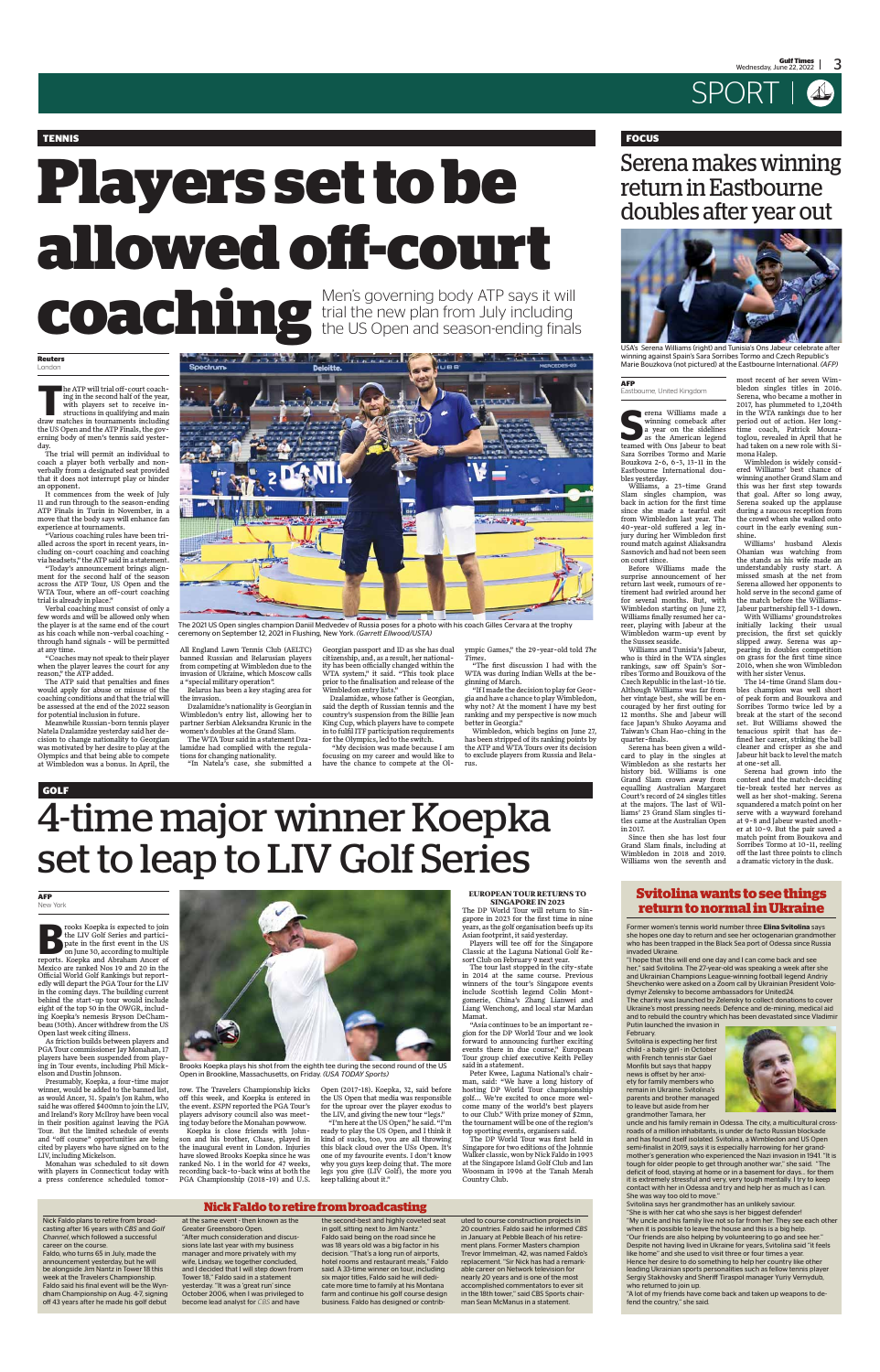

## 3 **Gulf Times**  Wednesday, June 22, 2022

The 2021 US Open singles champion Daniil Medvedev of Russia poses for a photo with his coach Gilles Cervara at the trophy ceremony on September 12, 2021 in Flushing, New York. *(Garrett Ellwood/USTA)*

# **Players set to be allowed off -court**

**The ATP will trial off-court coaching in the second half of the year, with players set to receive instructions in qualifying and main draw matches in tournaments including** ing in the second half of the year, with players set to receive instructions in qualifying and main the US Open and the ATP Finals, the governing body of men's tennis said yesterday.

### **Reuters** London

The trial will permit an individual to coach a player both verbally and nonverbally from a designated seat provided that it does not interrupt play or hinder an opponent.

It commences from the week of July 11 and run through to the season-ending ATP Finals in Turin in November, in a move that the body says will enhance fan experience at tournaments.

The ATP said that penalties and fines would apply for abuse or misuse of the coaching conditions and that the trial will be assessed at the end of the 2022 season for potential inclusion in future.

"Various coaching rules have been trialled across the sport in recent years, including on-court coaching and coaching via headsets," the ATP said in a statement.

"Today's announcement brings alignment for the second half of the season across the ATP Tour, US Open and the WTA Tour, where an off-court coaching trial is already in place."

Verbal coaching must consist of only a few words and will be allowed only when the player is at the same end of the court as his coach while non-verbal coaching through hand signals - will be permitted at any time.

"Coaches may not speak to their player when the player leaves the court for any reason," the ATP added.

"The first discussion I had with the WTA was during Indian Wells at the beginning of March.

Men's governing body ATP says it will<br>trial the new plan from July including<br>the US Open and season-ending finals trial the new plan from July including the US Open and season-ending finals

# Serena makes winning return in Eastbourne doubles after year out



Meanwhile Russian-born tennis player Natela Dzalamidze yesterday said her decision to change nationality to Georgian was motivated by her desire to play at the Olympics and that being able to compete at Wimbledon was a bonus. In April, the



**S**<br>
series winning comeback after<br>
a year on the sidelines<br>
as the American legend<br>
teamed with Ons Jabeur to beat erena Williams made a winning comeback after a year on the sidelines as the American legend Sara Sorribes Tormo and Marie Bouzkova 2-6, 6-3, 13-11 in the Eastbourne International doubles yesterday.

All England Lawn Tennis Club (AELTC) banned Russian and Belarusian players from competing at Wimbledon due to the invasion of Ukraine, which Moscow calls a "special military operation".

Belarus has been a key staging area for the invasion.

Dzalamidze's nationality is Georgian in Wimbledon's entry list, allowing her to partner Serbian Aleksandra Krunic in the women's doubles at the Grand Slam.

Williams and Tunisia's Jabeur, who is third in the WTA singles rankings, saw off Spain's Sorribes Tormo and Bouzkova of the Czech Republic in the last-16 tie. Although Williams was far from her vintage best, she will be encouraged by her first outing for 12 months. She and Jabeur will face Japan's Shuko Aoyama and Taiwan's Chan Hao-ching in the quarter-finals.

The WTA Tour said in a statement Dzalamidze had complied with the regulations for changing nationality.

"In Natela's case, she submitted a

Georgian passport and ID as she has dual citizenship, and, as a result, her nationality has been officially changed within the WTA system," it said. "This took place prior to the finalisation and release of the Wimbledon entry lists."

Dzalamidze, whose father is Georgian, said the depth of Russian tennis and the country's suspension from the Billie Jean King Cup, which players have to compete in to fulfil ITF participation requirements for the Olympics, led to the switch.

 "My decision was made because I am focusing on my career and would like to have the chance to compete at the Olympic Games," the 29-year-old told *The Times*.

"If I made the decision to play for Georgia and have a chance to play Wimbledon, why not? At the moment I have my best ranking and my perspective is now much better in Georgia."

> Serena had grown into the contest and the match-deciding tie-break tested her nerves as well as her shot-mak

Wimbledon, which begins on June 27, has been stripped of its ranking points by the ATP and WTA Tours over its decision to exclude players from Russia and Belarus.

### **AFP**  Eastbourne, United Kingdom

**Brooks Koepka is expected to join the LIV Golf Series and participate in the first event in the US on June 30, according to multiple reports. Koepka and Abraham Ancer of** the LIV Golf Series and participate in the first event in the US on June 30, according to multiple Mexico are ranked Nos 19 and 20 in the Official World Golf Rankings but reportedly will depart the PGA Tour for the LIV in the coming days. The building current behind the start-up tour would include eight of the top 50 in the OWGR, including Koepka's nemesis Bryson DeChambeau (30th). Ancer withdrew from the US Open last week citing illness.

Williams, a 23-time Grand Slam singles champion, was back in action for the first time since she made a tearful exit from Wimbledon last year. The 40-year-old suffered a leg injury during her Wimbledon first round match against Aliaksandra Sasnovich and had not been seen on court since.

Before Williams made the surprise announcement of her return last week, rumours of retirement had swirled around her for several months. But, with Wimbledon starting on June 27, Williams finally resumed her career, playing with Jabeur at the Wimbledon warm-up event by the Sussex seaside.

Serena has been given a wildcard to play in the singles at Wimbledon as she restarts her history bid. Williams is one Grand Slam crown away from equalling Australian Margaret Court's record of 24 singles titles at the majors. The last of Williams' 23 Grand Slam singles titles came at the Australian Open in 2017.

Since then she has lost four Grand Slam finals, including at Wimbledon in 2018 and 2019. Williams won the seventh and most recent of her seven Wimbledon singles titles in 2016. Serena, who became a mother in 2017, has plummeted to 1,204th in the WTA rankings due to her period out of action. Her longtime coach, Patrick Mouratoglou, revealed in April that he had taken on a new role with Simona Halep. Wimbledon is widely consid-

ered Williams' best chance of winning another Grand Slam and this was her first step towards that goal. After so long away, Serena soaked up the applause during a raucous reception from the crowd when she walked onto court in the early evening sunshine.

uncle and his family remain in Odessa. The city, a multicultural crossroads of a million inhabitants, is under de facto Russian blockade and has found itself isolated. Svitolina, a Wimbledon and US Open semi-finalist in 2019, says it is especially harrowing for her grandmother's generation who experienced the Nazi invasion in 1941. "It is tough for older people to get through another war," she said. "The deficit of food, staying at home or in a basement for days... for them it is extremely stressful and very, very tough mentally. I try to keep contact with her in Odessa and try and help her as much as I can. She was way too old to move.'

Williams' husband Alexis Ohanian was watching from the stands as his wife made an understandably rusty start. A missed smash at the net from Serena allowed her opponents to hold serve in the second game of the match before the Williams-Jabeur partnership fell 3-1 down. With Williams' groundstrokes

initially lacking their usual precision, the first set quickly slipped away. Serena was appearing in doubles competition on grass for the first time since 2016, when she won Wimbledon with her sister Venus.

The 14-time Grand Slam doubles champion was well short of peak form and Bouzkova and Sorribes Tormo twice led by a break at the start of the second set. But Williams showed the tenacious spirit that has defined her career, striking the ball cleaner and crisper as she and Jabeur hit back to level the match at one-set all.

squandered a match point on her serve with a wayward forehand at 9-8 and Jabeur wasted another at 10-9. But the pair saved a match point from Bouzkova and Sorribes Tormo at 10-11, reeling off the last three points to clinch a dramatic victory in the dusk.

# 4-time major winner Koepka set to leap to LIV Golf Series

**AFP** New York

As friction builds between players and PGA Tour commissioner Jay Monahan, 17 players have been suspended from playing in Tour events, including Phil Mickelson and Dustin Johnson.

Presumably, Koepka, a four-time major winner, would be added to the banned list, as would Ancer, 31. Spain's Jon Rahm, who said he was offered \$400mn to join the LIV, and Ireland's Rory McIlroy have been vocal in their position against leaving the PGA Tour. But the limited schedule of events and "off course" opportunities are being cited by players who have signed on to the LIV, including Mickelson.

Monahan was scheduled to sit down with players in Connecticut today with a press conference scheduled tomorrow. The Travelers Championship kicks off this week, and Koepka is entered in the event. *ESPN* reported the PGA Tour's players advisory council also was meeting today before the Monahan powwow.

Koepka is close friends with Johnson and his brother, Chase, played in the inaugural event in London. Injuries have slowed Brooks Koepka since he was ranked No. 1 in the world for 47 weeks, recording back-to-back wins at both the PGA Championship (2018-19) and U.S.

Open (2017-18). Koepka, 32, said before the US Open that media was responsible for the uproar over the player exodus to the LIV, and giving the new tour "legs."

"I'm here at the US Open," he said. "I'm ready to play the US Open, and I think it kind of sucks, too, you are all throwing this black cloud over the USs Open. It's one of my favourite events. I don't know why you guys keep doing that. The more legs you give (LIV Golf), the more you keep talking about it."

**EUROPEAN TOUR RETURNS TO SINGAPORE IN 2023**  The DP World Tour will return to Singapore in 2023 for the first time in nine years, as the golf organisation beefs up its Asian footprint, it said yesterday. Players will tee off for the Singapore Classic at the Laguna National Golf Resort Club on February 9 next year.

The tour last stopped in the city-state in 2014 at the same course. Previous winners of the tour's Singapore events include Scottish legend Colin Montgomerie, China's Zhang Lianwei and Liang Wenchong, and local star Mardan

Mamat.

"Asia continues to be an important region for the DP World Tour and we look forward to announcing further exciting events there in due course," European Tour group chief executive Keith Pelley

said in a statement.

Peter Kwee, Laguna National's chairman, said: "We have a long history of hosting DP World Tour championship golf... We're excited to once more welcome many of the world's best players to our Club." With prize money of \$2mn, the tournament will be one of the region's top sporting events, organisers said. The DP World Tour was first held in Singapore for two editions of the Johnnie Walker classic, won by Nick Faldo in 1993 at the Singapore Island Golf Club and Ian Woosnam in 1996 at the Tanah Merah

Country Club.



Brooks Koepka plays his shot from the eighth tee during the second round of the US Open in Brookline, Massachusetts, on Friday. *(USA TODAY Sports)* 

## **Svitolina wants to see things return to normal in Ukraine**

Former women's tennis world number three **Elina Svitolina** says she hopes one day to return and see her octogenarian grandmother who has been trapped in the Black Sea port of Odessa since Russia invaded Ukraine.

"I hope that this will end one day and I can come back and see her," said Svitolina. The 27-year-old was speaking a week after she and Ukrainian Champions League-winning football legend Andriy Shevchenko were asked on a Zoom call by Ukrainian President Volodymyr Zelensky to become ambassadors for United24.

The charity was launched by Zelensky to collect donations to cover Ukraine's most pressing needs: Defence and de-mining, medical aid and to rebuild the country which has been devastated since Vladimir Putin launched the invasion in

February.

Svitolina is expecting her first child - a baby girl - in October with French tennis star Gael Monfils but says that happy news is offset by her anxiety for family members who remain in Ukraine. Svitolina's parents and brother managed to leave but aside from her grandmother Tamara, her



Svitolina says her grandmother has an unlikely saviour. "She is with her cat who she says is her biggest defender! "My uncle and his family live not so far from her. They see each other when it is possible to leave the house and this is a big help. "Our friends are also helping by volunteering to go and see her." Despite not having lived in Ukraine for years, Svitolina said "it feels like home" and she used to visit three or four times a year. Hence her desire to do something to help her country like other leading Ukrainian sports personalities such as fellow tennis player Sergiy Stakhovsky and Sheriff Tiraspol manager Yuriy Vernydub, who returned to join up.

"A lot of my friends have come back and taken up weapons to defend the country," she said.

## **TENNIS FOCUS**

**GOLF**

## **Nick Faldo to retire from broadcasting**

Nick Faldo plans to retire from broadcasting after 16 years with *CBS* and *Golf Channel*, which followed a successful career on the course.

Faldo, who turns 65 in July, made the announcement yesterday, but he will be alongside Jim Nantz in Tower 18 this week at the Travelers Championship. Faldo said his final event will be the Wyndham Championship on Aug. 4-7, signing off 43 years after he made his golf debut

at the same event - then known as the Greater Greensboro Open. "After much consideration and discussions late last year with my business manager and more privately with my wife, Lindsay, we together concluded, and I decided that I will step down from Tower 18," Faldo said in a statement yesterday. "It was a 'great run' since October 2006, when I was privileged to become lead analyst for *CBS* and have

the second-best and highly coveted seat in golf, sitting next to Jim Nantz." Faldo said being on the road since he was 18 years old was a big factor in his decision. "That's a long run of airports, hotel rooms and restaurant meals," Faldo said. A 33-time winner on tour, including six major titles, Faldo said he will dedicate more time to family at his Montana farm and continue his golf course design business. Faldo has designed or contributed to course construction projects in 20 countries. Faldo said he informed *CBS*  in January at Pebble Beach of his retirement plans. Former Masters champion Trevor Immelman, 42, was named Faldo's replacement. "Sir Nick has had a remarkable career on Network television for nearly 20 years and is one of the most accomplished commentators to ever sit in the 18th tower," said CBS Sports chairman Sean McManus in a statement.

USA's Serena Williams (right) and Tunisia's Ons Jabeur celebrate after winning against Spain's Sara Sorribes Tormo and Czech Republic's Marie Bouzkova (not pictured) at the Eastbourne International. *(AFP)*